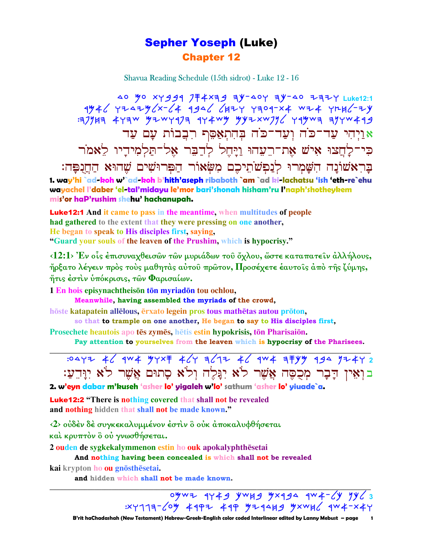## Sepher Yoseph (Luke) Chapter 12

Shavua Reading Schedule (15th sidrot) - Luke 12 - 16

40 Mo XY999 7 <del>T</del> 4 X 3 9 T Y - 40 Y 3 Y - 40 7 3 7 H Luke12:1  $7446$   $774446$   $774646$   $1946$   $1947$   $1904-x$   $1944$   $1946$ - $74$  $:17$ 141 471w yzwrq71 974wy yyzxw71/ 799wa 117w493 אֲוַיְהִי עֲד־כֹּה וְעַד־כֹּה בְּהִתְאָםֶף רְבֵבוֹת עָם עַד בִּי־לַחֲצוּ אִישׁ אֵת־רֵעָהוּ וַיַּחֵל לִדַבֶּר אָל־תַּלְמִידַיו לֵאמֹר בָּרְאֹשׁוֹנָה הִשָּׁמְרוּ לְנַפִ**ּ**ֹשׂוֹ,ֵיכֶם מִשְׂאוֹר הַפִּרוּשִׁים שֶׁהוּא הַחֲנָפָּה: **1. way'hi `ad-koh w'`ad-koh b'hith'aseph ribaboth `am `ad ki-lachatsu 'ish 'eth-re`ehu wayachel l'daber 'el-tal'midayu le'mor bari'shonah hisham'ru l'naph'shotheykem mis'or haP'rushim shehu' hachanupah.**

Luke12:1 **And it came to pass in the meantime, when multitudes of people had gathered to the extent that they were pressing on one another, He began to speak to His disciples first, saying, "Guard your souls of the leaven of the Prushim, which is hypocrisy."** 

**‹12:1› Ἐν οἷς ἐπισυναχθεισῶν τῶν µυριάδων τοῦ ὄχλου, ὥστε καταπατεῖν ἀλλήλους, ἤρξατο λέγειν πρὸς τοὺς µαθητὰς αὐτοῦ πρῶτον, Προσέχετε ἑαυτοῖς ἀπὸ τῆς ζύµης, ἥτις ἐστὶν ὑπόκρισις, τῶν Φαρισαίων.** 

**1 En hois episynachtheison to myriadon to u ochlou,** 

**Meanwhile, having assembled the myriads of the crowd,**

hoste katapatein allelous, erxato legein pros tous mathetas autou proton,

**so that to trample on one another, He began to say to His disciples first, Prosechete heautois** apo **tēs zymēs**, hētis estin **hypokrisis**, tōn Pharisaiōn.

**Pay attention to yourselves from the leaven which is hypocrisy of the Pharisees.** 

| :04YZ 46 9W4 YYX F 46Y 7612 46 9W4 7 FYY 994 YZ4Y 2                           |  |  |  |  |  |
|-------------------------------------------------------------------------------|--|--|--|--|--|
| בוְאֵין דָבָר מְכֻסֶּה אֲשֶׁר לֹא יִנְּלֶה וְלֹא סָתוּם אֲשֶׁר לֹא יִוְּדֵעַ: |  |  |  |  |  |
|                                                                               |  |  |  |  |  |

**2. w'eyn dabar m'kuseh 'asher lo' yigaleh w'lo' sathum 'asher lo' yiuade`a.**

Luke12:2 **"There is nothing covered that shall not be revealed and nothing hidden that shall not be made known."**

**‹2› οὐδὲν δὲ συγκεκαλυµµένον ἐστὶν ὃ οὐκ ἀποκαλυφθήσεται καὶ κρυπτὸν ὃ οὐ γνωσθήσεται.** 

**2 ouden de sygkekalymmenon estin ho ouk apokalyphthesetai** 

 **And nothing having been concealed is which shall not be revealed**

**kai** krypton **ho ou gnōsthēsetai.** 

 **and hidden which shall not be made known.** 

ogwa 9749 ywh9 gx994 9w4-6y yy63

 $:$  XY1177- $\angle$ 04 497 497 497 449 4444 4446 444- x44

**\_\_\_\_\_\_\_\_\_\_\_\_\_\_\_\_\_\_\_\_\_\_\_\_\_\_\_\_\_\_\_\_\_\_\_\_\_\_\_\_\_\_\_\_\_\_\_\_\_\_\_\_\_\_\_\_\_\_\_\_\_\_\_\_\_\_\_\_\_\_\_\_\_\_\_\_\_\_\_\_\_\_\_\_\_\_\_\_\_\_\_\_\_**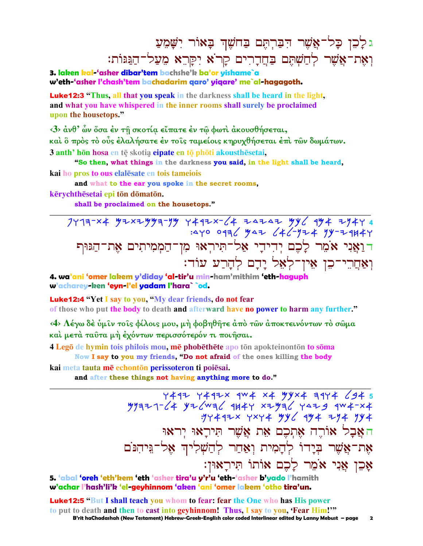## גלָכֶן כָּל־אֲשֶׁר הִבַּרְחֵם בַּחֹשֵׁךְ בָאוֹר יִשָּׁמֵעַ וְאֵת־אֲשֶׁר לְחֲשָׁתֵּם בַּחֲדָרִים קַרֹא יִקַּרֵא מֵעֲל־הַגַּגּוֹת:

3. laken kal-'asher dibar'tem bachshe'k ba'or vishame`a w'eth-'asher l'chash'tem bachadarim garo' yigare' me`al-hagagoth.

**Luke12:3** "Thus, all that you speak in the darkness shall be heard in the light, and what you have whispered in the inner rooms shall surely be proclaimed upon the housetops."

 $\langle 3 \rangle$  άνθ' ων όσα έν τη σκοτία είπατε έν τω φωτι άκουσθήσεται, καὶ ὃ πρὸς τὸ οὖς ἐλαλήσατε ἐν τοῖς ταμείοις κηρυχθήσεται ἐπὶ τῶν δωμάτων. 3 anth' hōn hosa en tē skotia eipate en tō phōti akousthēsetai.

"So then, what things in the darkness you said, in the light shall be heard, kai ho pros to ous elalesate en tois tameiois

and what to the ear you spoke in the secret rooms,

kērvchthēsetai epi tōn dōmatōn.

shall be proclaimed on the housetops."

7473-x4  $y$ 2x2yy3-yy 4492x-64 24242 yy6 9y4 2y44 :440 0476 yaz 646-yz4 yy-24H44 דואַני אֹמֵר לַכֵם יִדִידַי אַל־תִּירִאוּ מִן־הַמְמִיתִים אֶת־הַגּוּף וְאַחֲרֵי־כֵן אֵין־לְאֵל יָדָם לְהָרַע עוֹד:

4. wa'ani 'omer lakem y'diday 'al-tir'u min-ham'mithim 'eth-haguph w'acharey-ken 'evn-l'el vadam l'hara``od.

**Luke12:4 "Yet I say to you, "My dear friends, do not fear** of those who put the body to death and afterward have no power to harm any further."

<4> Λέγω δε ύμιν τοις φίλοις μου, μή φοβηθήτε άπο των αποκτεινόντων το σώμα και μετά ταυτα μή έχόντων περισσότερόν τι ποιήσαι.

4 Lego de hymin tois philois mou, me phobethete apo ton apokteinonton to soma Now I say to you my friends, "Do not afraid of the ones killing the body

kai meta tauta mē echontōn perissoteron ti poiēsai.

and after these things not having anything more to do."

4492 4492x 9w4 x4 yyx4 3944 694 5  $799977 - 64$   $976$   $1049$   $1049$   $1049$   $1049$   $1049$   $1049$   $1049$   $1049$ : 14442x + 244 446 444 744 744 האַבַל אוֹרֵה אֶתְכֶם אֶת אֱשֶׁר תִּירַאוּ יְראוּ אֶת־אֱשֶׁר בְּיָדוֹ לְהֲמִית וְאֲחַר לְהַשָׁלִיהְ אֱל־גֵּיהִנֹּם אָכֶן אַנִי אֹמֶר לַכֶם אוֹתוֹ תִּירַאוּן:

 $\overline{\mathbf{2}}$ 

5. 'abal 'oreh 'eth'kem 'eth 'asher tira'u y'r'u 'eth-'asher b'yado l'hamith w'achar l'hash'li'k 'el-geyhinnom 'aken 'ani 'omer lakem 'otho tira'un.

**Luke12:5 "But I shall teach you whom to fear: fear the One who has His power** to put to death and then to cast into geyhinnom! Thus, I say to you, 'Fear Him!'" B'rit haChadashah (New Testament) Hebrew-Greek-English color coded Interlinear edited by Lanny Mebust - page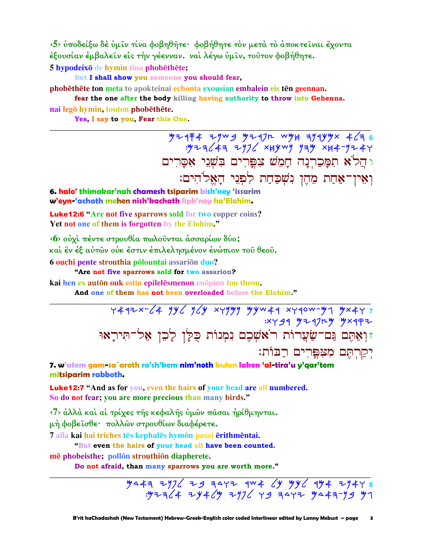<5> υποδείξω δε υμίν τίνα φοβηθήτε· φοβήθητε τον μετά το άποκτείναι έχοντα έξουσίαν έμβαλεῖν εἰς τὴν γέενναν. ναὶ λέγω ὑμῖν, τοῦτον φοβήθητε. 5 hypodeixō de hymin tina phobēthēte;

But I shall show you someone you should fear,

phobethete ton meta to apokteinai echonta exousian embalein eis ten geennan.

fear the one after the body killing having authority to throw into Gehenna. nai legō hymin, touton phobēthēte.

Yes, I say to you, Fear this One.

 $774774 + 7999$  y 1974 x 4/36<br> y 14-3/43 y 1984 x 1974 x 1984 y 1984. ו הֵלֹא תִמַּכַרְנַה חַמָּשׁ צִפֵּרִים בִּשְׁנֵי אָסֲרִים ואין־אחת מהן נשכחת לפני האלהים:

6. halo' thimakar'nah chamesh tsiparim bish'ney 'issarim w'eyn-'achath mehen nish'kachath liph'ney ha'Elohim.

**Luke12:6 "Are not five sparrows sold for two copper coins?** Yet not one of them is forgotten by the Elohim."

<6> ούχι πέντε στρουθία πωλούνται άσσαρίων δύο;

και εν έξ αύτων ούκ έστιν έπιλελησμένον ένώπιον του θεου.

6 ouchi pente strouthia polountai assarion duo?

"Are not five sparrows sold for two assarion?

kai hen ex auton ouk estin epilelesmenon enopion tou theou.

And one of them has not been overloaded before the Elohim."

 $Y4472264$  yy (y (y xyyyy yyw 44 xy 40w-y 1 yx 4y 7 : x y g q y z q j n y x q q z זוְאַתֵּם גַּם־שַׂעֲרוֹת רֹאֹשָׁכֶם נִמְנוֹת כָּלַן לָכֶן אַל־תִּירָאוּ יִקַרְתֵּם מְצִפֵּרִים רַבּוֹת:

7. w'atem gam-sa`aroth ro'sh'kem nim'noth kulan laken 'al-tira'u y'gar'tem mitsiparim rabboth.

**Luke12:7** "And as for you, even the hairs of your head are all numbered. So do not fear; you are more precious than many birds."

<7> ἀλλὰ καὶ αἱ τρίχες τῆς κεφαλῆς ὑμῶν πᾶσαι ἠρίθμηνται.

μή φοβεῖσθε· πολλῶν στρουθίων διαφέρετε.

7 alla kai hai triches tēs kephalēs hymōn pasai ērithmēntai.

"But even the hairs of your head all have been counted.

mē phobeisthe; pollon strouthion diapherete.

Do not afraid, than many sparrows you are worth more."

 $\frac{11}{2}$   $\frac{11}{2}$   $\frac{11}{2}$   $\frac{11}{2}$   $\frac{11}{2}$   $\frac{11}{2}$   $\frac{11}{2}$   $\frac{11}{2}$   $\frac{11}{2}$   $\frac{11}{2}$   $\frac{11}{2}$   $\frac{11}{2}$   $\frac{11}{2}$   $\frac{11}{2}$   $\frac{11}{2}$   $\frac{11}{2}$   $\frac{11}{2}$   $\frac{11}{2}$   $\frac{11}{2}$   $\frac{11}{2}$   $.977374$  +  $7946$  +  $7976$  +  $9$   $3977$   $9943$  +  $399$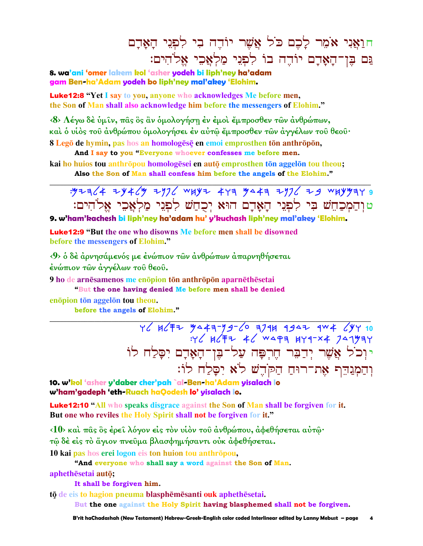<u>חואני אֹמֵר לַכֵם כֹּל אֲשֶׁר יוֹדֵה בִי לִפְנִי הַאֲדָם</u> נֵם בֶּן־הָאָדָם יוֹדֵה בוֹ לְפְנֵי מַלְאֵכֵי אֵל<sup>ּי</sup>הִים:

**8. wa'ani 'omer lakem kol 'asher yodeh bi liph'ney ha'adam gam Ben-ha'Adam yodeh bo liph'ney mal'akey 'Elohim.**

Luke12:8 **"Yet I say to you, anyone who acknowledges Me before men, the Son of Man shall also acknowledge him before the messengers of Elohim."**

**‹8› Λέγω δὲ ὑµῖν, πᾶς ὃς ἂν ὁµολογήσῃ ἐν ἐµοὶ ἔµπροσθεν τῶν ἀνθρώπων, καὶ ὁ υἱὸς τοῦ ἀνθρώπου ὁµολογήσει ἐν αὐτῷ ἔµπροσθεν τῶν ἀγγέλων τοῦ θεοῦ· 8 Legō de hymin, pas hos an homologēsē en emoi emprosthen tōn anthrōpōn,** 

 **And I say to you "Everyone whoever confesses me before men.** 

**kai ho huios tou anthrōpou homologēsei en autō emprosthen tōn aggelōn tou theou; Also the Son of Man shall confess him before the angels of the Elohim."** 

: M+= C4 + Y4 CM + Y2 WHY+ 443 MA44 + Y2 C + 9 WHYM44 9 טוּהַמְכַחֵשׁ בִּי לְפְנֵי הַאֲדָם הוּא יְכִחֲשׁ לְפִנֵי מַלְאֲכֵי אֱלֹהִים:

**\_\_\_\_\_\_\_\_\_\_\_\_\_\_\_\_\_\_\_\_\_\_\_\_\_\_\_\_\_\_\_\_\_\_\_\_\_\_\_\_\_\_\_\_\_\_\_\_\_\_\_\_\_\_\_\_\_\_\_\_\_\_\_\_\_\_\_\_\_\_\_\_\_\_\_\_\_\_\_\_\_\_\_\_\_\_\_\_\_\_\_\_\_**

**\_\_\_\_\_\_\_\_\_\_\_\_\_\_\_\_\_\_\_\_\_\_\_\_\_\_\_\_\_\_\_\_\_\_\_\_\_\_\_\_\_\_\_\_\_\_\_\_\_\_\_\_\_\_\_\_\_\_\_\_\_\_\_\_\_\_\_\_\_\_\_\_\_\_\_\_\_\_\_\_\_\_\_\_\_\_\_\_\_\_\_\_\_**

**9. w'ham'kachesh bi liph'ney ha'adam hu' y'kuchash liph'ney mal'akey 'Elohim.**

Luke12:9 **"But the one who disowns Me before men shall be disowned before the messengers of Elohim."**

**‹9› ὁ δὲ ἀρνησάµενός µε ἐνώπιον τῶν ἀνθρώπων ἀπαρνηθήσεται ἐνώπιον τῶν ἀγγέλων τοῦ θεοῦ.** 

**9 ho** de arnesamenos me enopion ton anthropon aparnethesetai

 **"But the one having denied Me before men shall be denied**

**enopion ton aggelon tou theou.** 

**before the angels of Elohim."**

YC HCFZ 9443-9*9-*CO 379H 994Z 9W4 CYY 10  $Y'$   $Y'$   $Y$   $Y = Y'$   $Y = Y'$ יוְכֹל אֲשֶׁר יְדַבֵּר חֶרִפָּה עַל־בֵּן־הָאָדָם יִסַלַח לוֹ וִהַמְנֵהֵף אֶת־רוּחַ הַקֹּהֵשׁ לֹא יִסֲלַח לוֹ:

**10. w'kol 'asher y'daber cher'pah `al-Ben-ha'Adam yisalach lo w'ham'gadeph 'eth-Ruach haQodesh lo' yisalach lo.**

Luke12:10 **"All who speaks disgrace against the Son of Man shall be forgiven for it. But one who reviles the Holy Spirit shall not be forgiven for it."**

**‹10› καὶ πᾶς ὃς ἐρεῖ λόγον εἰς τὸν υἱὸν τοῦ ἀνθρώπου, ἀφεθήσεται αὐτῷ·** 

**τῷ δὲ εἰς τὸ ἅγιον πνεῦµα βλασφηµήσαντι οὐκ ἀφεθήσεται.** 

**10 kai pas hos erei logon eis ton huion tou anthrōpou,** 

 **"And everyone who shall say a word against the Son of Man.** 

 $a$ phethesetai auto:

**It shall be forgiven him.** 

**t**ō de eis to hagion pneuma blasphēmēsanti ouk aphethēsetai.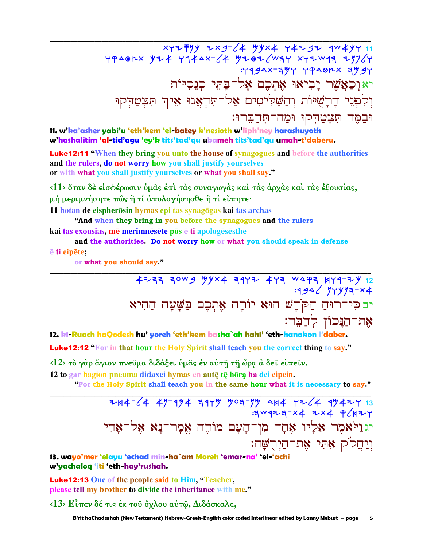$xy7777)$   $x \rightarrow 4 - 24$   $xy \rightarrow 4 - 27$   $xy \rightarrow 11$  $YP$ <br />  $Y74$   $Y744$ <br />  $Z4$   $Y767$   $X77$   $X77$   $X789$   $X77$   $X79$   $X79$   $X79$   $X79$  $4494x - 394$   $4948x - 399$ יא וְכַאֲשֶׁר יָבִיאוּ אָתְכֶם אֶל־בַּתֵּי כְנִסְיּוֹת וִלְפְנֵי הָרָשָׁיּוֹת וְהַשֲלִיטִים אֲל־תִּדְאֲגוּ אֵיךְ תִּצְטַדִּקוּ וּבַמֵּה תִּצִטֲדִקוּ וּמַה־תִּדַבֵּרוּ:

11. w'ka'asher yabi'u 'eth'kem 'el-batey k'nesioth w'liph'ney harashuyoth w'hashalitim 'al-tid'agu 'ey'k tits'tad'qu ubameh tits'tad'qu umah-t'daberu.

**Luke12:11 "When they bring you unto the house of synagogues and before the authorities** and the rulers, do not worry how you shall justify yourselves or with what you shall justify yourselves or what you shall say."

<11> ὅταν δέ είσφέρωσιν ὑμας ἐπὶ τὰς συναγωγὰς καὶ τὰς ἀρχὰς καὶ τὰς ἐξουσίας, μή μεριμνήσητε πῶς ἢ τί ἀπολογήσησθε ἢ τί εἴπητε·

11 hotan de eispherōsin hymas epi tas synagōgas kai tas archas

"And when they bring in you before the synagogues and the rulers kai tas exousias, mē merimnēsēte pōs ē ti apologēsēs the

and the authorities. Do not worry how or what you should speak in defense

#### *<u>e</u>* ti eipēte;

or what you should say."

<u>12. ki-Ruach haOodesh hu' voreh 'eth'kem basha`ah hahi' 'eth-hanakon l'daber.</u>

**Luke12:12 "For in that hour the Holy Spirit shall teach you the correct thing to say."** 

<12> το γάρ άγιον πνεύμα διδάξει ύμας έν αύτη τη ώρα α δει είπειν.

12 to gar hagion pneuma didaxei hymas en autę tę hōrą ha dei eipein.

"For the Holy Spirit shall teach you in the same hour what it is necessary to say."

 $744-64$  47-974 3947 703-77 414 7764 97477 13  $\frac{1}{3}wq+1-x4 + kx4 + k$ יגוַיֹּאמֶר אֶלָיו אֶחָד מִן־הַעָם מוֹרֶה אֱמָר־נַא אֶל־אֶחִי וִיַחֲלֹק אָתִּי אֵת־הַיִרֻשָּׁה:

13. wayo'mer 'elayu 'echad min-ha`am Moreh 'emar-na' 'el-'achi w'yachaloq 'iti 'eth-hay'rushah.

**Luke12:13** One of the people said to Him, "Teacher, please tell my brother to divide the inheritance with me."

 $\langle 13 \rangle$  Είπεν δέ τις έκ του όχλου αύτω, Διδάσκαλε,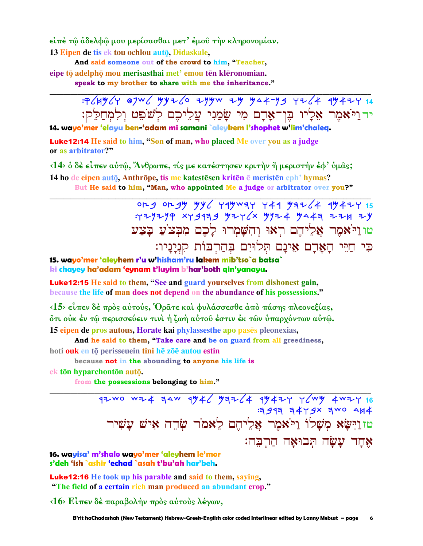είπε τῶ ἀδελφῶ μου μερίσασθαι μετ' έμοῦ την κληρονομίαν. 13 Eipen de tis ek tou ochlou autō, Didaskale,

And said someone out of the crowd to him, "Teacher, eipe tō adelphō mou merisasthai met' emou tēn klēronomian.

speak to my brother to share with me the inheritance."

:P (HY (Y 87W ( YYZ (O ZYYW ZY YA 4-Y 9 YZ (4 4442Y 14 יד וַיֹּאמֶר אֶלָיו בִּן־אָדָם מִי שַׂמַנִי עֲלֵיכֶם לְשֹׁפֵט וְלִמְחַלֵּק:

14. wayo'mer 'elayu ben-'adam mi samani `aleykem l'shophet w'lim'chaleg.

**Luke12:14 He said to him, "Son of man, who placed Me over you as a judge** or as arbitrator?"

<14> ο δε είπεν αύτώ, Άνθρωπε, τίς με κατέστησεν κριτήν ή μεριστήν έφ' ύμας; 14 ho de eipen autō, Anthrōpe, tis me katestēsen kritēn ē meristēn eph' hymas? But He said to him, "Man, who appointed Me a judge or arbitrator over you?"

> org orgy yy yy rayway y 44 yaz (4 44424 15  $7779799$  xyg13g y2ycx yyz4 ya43 224 2y טוניאמר אליהם ראו והשמרו לכם מבצע בצע כִּי חַיֵּי הָאֲדָם אִינָם תְּלוּיִם בְּהַרְבּוֹת קִנְיָנָיו:

15. wavo'mer 'aleyhem r'u w'hisham'ru lakem mib'tso`a batsa` ki chayey ha'adam 'eynam t'luyim b'har'both qin'yanayu.

**Luke12:15** He said to them, "See and guard yourselves from dishonest gain, because the life of man does not depend on the abundance of his possessions."

 $\langle 15 \rangle$  είπεν δέ προς αύτούς, Όρατε και φυλάσσεσθε από πάσης πλεονεξίας, őτι οὐκ έν τῷ περισσεύειν τινὶ ἡ ζωὴ αὐτοῦ ἐστιν ἐκ τῶν ὑπαρχόντων αὐτῷ. 15 eipen de pros autous. Horate kai phylasses the apo pases pleonexias.

And he said to them, "Take care and be on guard from all greediness,

hoti ouk en tō perisseuein tini hē zōē autou estin

because not in the abounding to anyone his life is

ek tōn hyparchontōn autō.

from the possessions belonging to him."

92 WO WZ4 34W 9446 93264 99424 46 4044 4024 16  $341374479x$  awo  $444$ טזוַיִּשֵׂא מִשָׁלוֹ וַיֹּאמֶר אֲלֵיהֶם לֵאמֹר שָׂהֶה אִישׁ עֲשִׁיר אחד עשה תבואה הרבה:

16. wayisa' m'shalo wayo'mer 'aleyhem le'mor s'deh 'ish `ashir 'echad `asah t'bu'ah har'beh.

**Luke12:16** He took up his parable and said to them, saying, "The field of a certain rich man produced an abundant crop."

 $\langle 16 \rangle$  Είπεν δέ παραβολήν πρός αύτους λέγων,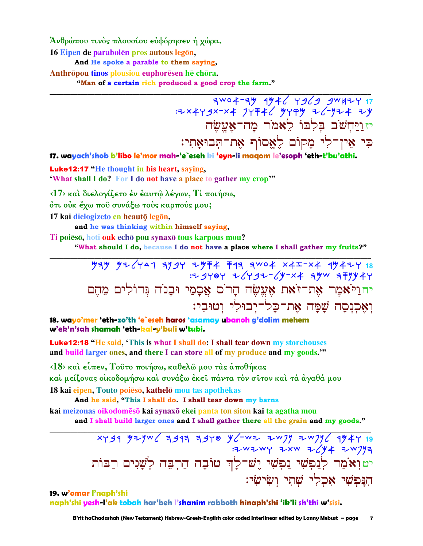Άνθρώπου τινός πλουσίου εύφόρησεν ή χώρα.

16 Eipen de parabolen pros autous legon,

And He spoke a parable to them saying.

Anthrōpou tinos plousiou euphorēsen hē chōra.

"Man of a certain rich produced a good crop the farm."

 $7^{4004-74}$   $4446$   $7469$   $4447$   $17$ : 2x449x-x4 JY = 46 4494 = 6-1724 = 4 יזויחשב בלבו לאמר מה־אעשה כִּי אִין־לִי מַקוֹם לֶאֱסוֹף אֶת־תְּבוּאָתִי:

17. wayach'shob b'libo le'mor mah-'e`eseh ki 'eyn-li maqom le'esoph 'eth-t'bu'athi.

**Luke12:17** "He thought in his heart, saying, 'What shall I do? For I do not have a place to gather my crop'"

<17> και διελογίζετο έν έαυτώ λέγων, Τί ποιήσω,

ότι ούκ έχω που συνάξω τους καρπούς μου;

17 kai dielogizeto en heautō legōn,

and he was thinking within himself saying,

Ti poiēsō, hoti ouk echō pou synaxō tous karpous mou?

"What should I do, because I do not have a place where I shall gather my fruits?"

 $73\%$   $97\%$   $97\%$   $97\%$   $97\%$   $97\%$   $97\%$   $97\%$   $97\%$   $97\%$   $97\%$   $97\%$   $97\%$   $97\%$   $97\%$   $97\%$   $97\%$   $97\%$   $97\%$   $97\%$   $97\%$   $97\%$   $97\%$   $97\%$   $97\%$   $97\%$   $97\%$   $97\%$   $97\%$   $97\%$   $97\%$   $97\$ יחוַיֹּאמֶר אֶת־זֹאת אֶעֱשֶׂה הַרֹם אֲסַמַי וּבַנֹה גִּדוֹלִים מִהם ואכנסה שמה את־כל־יִבוּלִי וְטוּבִי:

18. wayo'mer 'eth-zo'th 'e`eseh haros 'asamay ubanoh g'dolim mehem w'ek'n'sah shamah 'eth-kal-y'buli w'tubi.

**Luke12:18 "He said, 'This is what I shall do: I shall tear down my storehouses** and build larger ones, and there I can store all of my produce and my goods."

<18> καί είπεν, Τούτο ποιήσω, καθελώ μου τάς άποθήκας καὶ μείζονας οἰκοδομήσω καὶ συνάξω ἐκεῖ πάντα τὸν σῖτον καὶ τὰ ἀγαθά μου 18 kai eipen, Touto poieso, kathelō mou tas apothēkas

And he said, "This I shall do. I shall tear down my barns

kai meizonas oikodomēsō kai synaxō ekei panta ton siton kai ta agatha mou

and I shall build larger ones and I shall gather there all the grain and my goods."

xygq yzyw 6 1997 3948 y - w 2 1997 2 1998 4947 3 יטוְאֹמַר לְנַפְשִׁי נַפְשִׁי יֶשׁ־לָךְ טוֹבָה הַרְבֵּה לְשָׁנִים רַבּוֹת הַנַּפִּשִׁי אָכְלִי שָׁתִי וְשִׂישִׂי:

19. w'omar l'naph'shi naph'shi yesh-l'ak tobah har'beh l'shanim rabboth hinaph'shi 'ik'li sh'thi w'sisi.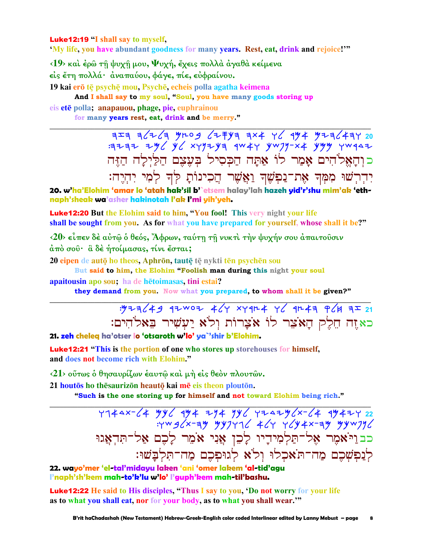**Luke12:19 "I shall say to myself.** 

'My life, you have abundant goodness for many years. Rest, eat, drink and rejoice!"

 $\langle 19 \rangle$  και έρω τη ψυχη μου, Ψυχή, έχεις πολλά άγαθα κείμενα είς έτη πολλά· άναπαύου, φάγε, πίε, εύφραίνου.

19 kai erō tē psychē mou, Psychē, echeis polla agatha keimena And I shall say to my soul, "Soul, you have many goods storing up eis ete polla; anapauou, phage, pie, euphrainou

for many years rest, eat, drink and be merry."

 $7777$   $796$   $96$   $84979$   $9949$   $9049$   $909 - x4$   $999$   $909$   $909$ כוִהַאֱלֹהִים אָמֵר לוֹ אַתַּה הַכִּסִיל בִּעֵצֵם הַלַּיְלַה הַזֵּה יִדְרִשׁוּ מִמְּךָ אֶת־נַפְשֶׁךְ וַאֲשֵׁר הֲכִינוֹתָ לִּךְ לִמְי יְהִיֵה:

20. w'ha'Elohim 'amar lo 'atah hak'sil b'`etsem halay'lah hazeh yid'r'shu mim'ak 'ethnaph'sheak wa'asher hakinotah l'ak l'mi yih'yeh.

**Luke12:20** But the Elohim said to him, "You fool! This very night your life shall be sought from you. As for what you have prepared for yourself, whose shall it be?"

<20> είπεν δέ αύτω ο θεός, Άφρων, ταύτη τη νυκτί την ψυχήν σου απαιτούσιν άπό σου· α δέ ήτοίμασας, τίνι έσται;

20 eipen de autō ho theos, Aphrōn, tautē tē nykti tēn psychēn sou

But said to him, the Elohim "Foolish man during this night your soul apaitousin apo sou; ha de hetoimasas, tini estai?

they demand from you. Now what you prepared, to whom shall it be given?"

כאזה חֵלֵק הַאֹצֵר לוֹ אֹצַרוֹת וְלֹא יַעִשִׁיר בֵּאלֹהִים:

21. zeh cheleg ha'otser lo 'otsaroth w'lo' ya`'shir b'Elohim.

**Luke12:21 "This is the portion of one who stores up storehouses for himself,** and does not become rich with Elohim."

<21> ούτως ο θησαυρίζων έαυτώ και μή είς θεόν πλουτών.

21 houtos ho thesaurizon heauto kai me eis theon plouton.

"Such is the one storing up for himself and not toward Elohim being rich."

 $Y144x-\angle 4$  yy  $\angle$  4y  $4$  + 7y 4y yy 4242y 22<br>  $Y144x-\angle 4$  yy 4x-ay yy 4x-ay yy 4x-ay yy 4x-ay yy 4x-ay yy 4x-ay yy 4x-ay yy 4x-ay yy 4x-ay yy 4x-ay yy 4x-a כבויֹאמֶר אֶל־תַּלְמִידִיו לָכֵן אֲנִי אֹמֵר לָכֵם אַל־תִּדְאֲגוּ לנפשכם מה־תאכלו ולא לגופכם מה־תלבשו:

22. wayo'mer 'el-tal'midayu laken 'ani 'omer lakem 'al-tid'agu l'naph'sh'kem mah-to'k'lu w'lo' l'guph'kem mah-til'bashu.

**Luke12:22** He said to His disciples, "Thus I say to you, 'Do not worry for your life as to what you shall eat, nor for your body, as to what you shall wear."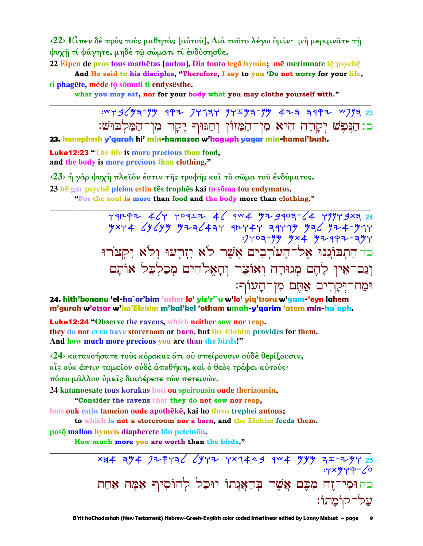$\langle 22 \rangle$  Είπεν δέ πρός τούς μαθητάς [αύτου], Διά τουτο λέγω ύμιν· μή μεριμνατε τη ψυχῆ τί φάγητε, μηδέ τῷ σώματι τί ένδύσησθε.

22 Eipen de pros tous mathētas [autou], Dia touto legō hymin; mē merimnate tē psychē

And He said to his disciples, "Therefore, I say to you 'Do not worry for your life, ti phagëte, mëde to somati ti endysës the.

what you may eat, nor for your body what you may clothe yourself with."

כג הַנֶּפֶשׁ יְקָרָה הִיא מִן־הַמָּזוֹן וְהַגּוּף יָקָר מִן־הַמַּלְבּוּשׁ: 23. hanephesh y'qarah hi' min-hamazon w'haguph yaqar min-hamal'bush.

**Luke12:23** "The life is more precious than food, and the body is more precious than clothing."

<23> ή γάρ ψυχή πλειόν έστιν της τροφής και το σώμα του ένδύματος. 23 hē gar psychē pleion estin tēs trophēs kai to soma tou endymatos.

"For the soul is more than food and the body more than clothing."

 $\frac{y}{y} + \frac{y}{y} + \frac{y}{y} + \frac{y}{y} + \frac{y}{y} + \frac{y}{y} + \frac{y}{y} + \frac{y}{y} + \frac{y}{y} + \frac{y}{y} + \frac{y}{y} + \frac{y}{y} + \frac{y}{y} + \frac{y}{y} + \frac{y}{y} + \frac{y}{y} + \frac{y}{y} + \frac{y}{y} + \frac{y}{y} + \frac{y}{y} + \frac{y}{y} + \frac{y}{y} + \frac{y}{y} + \frac{y}{y} + \frac{y}{y} + \frac{y}{y} + \frac{y}{y} + \frac{y$ כד הִתְבּוֹנֲנוּ אֶל־הָעוֹרְבִים אֲשֶׁר לֹא יִזְרִעוּ וְלֹא יִקְצֹרוּ וְגַם־אֵין לָהֶם מְגוּרָה וְאוֹצָר וְהָאֵלֹהִים מִכַלְכֵל אוֹתָם וּמַה־יִּקַרִים אַתֵּם מִן־הָעוֹף:

24. hith'bonanu 'el-ha`or'bim 'asher lo' yiz'r'`u w'lo' yiq'tsoru w'gam-'eyn lahem m'gurah w'otsar w'ha'Elohim m'kal'kel 'otham umah-y'garim 'atem min-ha`oph.

**Luke12:24 "Observe the ravens, which neither sow nor reap.** they do not even have storeroom or barn, but the Elohim provides for them. And how much more precious you are than the birds!"

<24> κατανοήσατε τούς κόρακας ότι ού σπείρουσιν ούδέ θερίζουσιν, οίς ούκ έστιν ταμείον ούδέ άποθήκη, και ο θεός τρέφει αύτούς· πόσω μαλλον ύμεις διαφέρετε των πετεινών.

24 katanoësate tous korakas hoti ou speirousin oude therizousin,

"Consider the ravens that they do not sow nor reap,

hois ouk estin tameion oude apotheke, kai ho theos trephei autous;

to which is not a storeroom nor a barn, and the Elohim feeds them.

posō mallon hymeis diapherete tōn peteinōn.

How much more you are worth than the birds."

כה וּמִי־זֵה מִכֵּם אֲשֶׁר בְּדַאֲנָתוֹ יוּכַל לְהוֹסִיף אַמָּה אַחַת על־קוֹמֵתוֹ: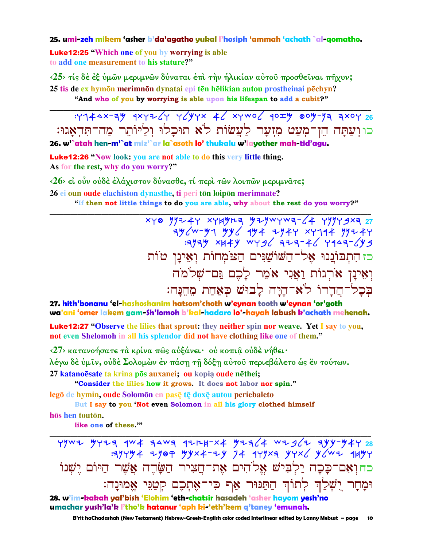#### 25. umi-zeh mikem 'asher b'da'agatho yukal l'hosiph 'ammah 'achath `al-qomatho.

**Luke12:25 "Which one of you by worrying is able** to add one measurement to his stature?"

<25> τίς δέ έξ ύμων μεριμνων δύναται έπι την ήλικίαν αύτου προσθείναι πήχυν; 25 tis de ex hymon merimnon dynatai epi tēn hēlikian autou prostheinai pēchyn? "And who of you by worrying is able upon his lifespan to add a cubit?"

כו וַעֲתָּה הֵן־מִעֲט מְזִעֲר לַעֲשׂוֹת לֹא תוּכלוּ וליּוֹתר מה־תּדאגוּ: 26. w'`atah hen-m'`at miz'`ar la`asoth lo' thukalu w'layother mah-tid'agu.

**Luke12:26** "Now look: you are not able to do this very little thing. As for the rest, why do you worry?"

<26> εί ούν ούδέ έλάχιστον δύνασθε, τί περί των λοιπών μεριμνατε;

26 ei oun oude elachiston dynasthe, ti peri tōn loipōn merimnate? "If then not little things to do you are able, why about the rest do you worry?"

> $x + 8$   $y + 4 + x + x + 4$   $y - 1$   $y - 1$   $y - 1$   $z - 2$  $79244$  79-44-1946 797-44-1946 794-44-1946 794-44-1946<br>Fand 14-5-46 1944 1944-46 כז התבוננו אל־השוֹשֲנִים הַצֹמְחוֹת וְאִינַן טוֹת וְאֵינַן אֹרְגוֹת וַאֲנִי אֹמֶר לַכֶם גַּם־שָׁלֹמֹה בִּכָל־הֲדָרוֹ לֹא־הַיַה לַבוּשׁ כִּאֲחַת מֵהֵנַּה:

27, hith'bonanu 'el-hashoshanim hatsom'choth w'eynan tooth w'eynan 'or'goth wa'ani 'omer lakem gam-Sh'lomoh b'kal-hadaro lo'-hayah labush k'achath mehenah.

**Luke12:27 "Observe the lilies that sprout: they neither spin nor weave. Yet I say to you,** not even Shelomoh in all his splendor did not have clothing like one of them."

<27> κατανοήσατε τα κρίνα πως αυξάνει· ου κοπια ουδε νήθει· λέγω δὲ ὑμῖν, οὐδὲ Σολομὼν ἐν πάση τῆ δόξη αὐτοῦ περιεβάλετο ὡς ἓν τούτων.

27 katanoēsate ta krina pōs auxanei; ou kopia oude nēthei;

"Consider the lilies how it grows. It does not labor nor spin." legō de hymin, oude Solomōn en pasē tē doxē autou periebaleto

But I say to you 'Not even Solomon in all his glory clothed himself

hōs hen toutōn.

like one of these.""

 $Y$ ywı yyıq qw $x$  qawq qırkı-x yıq/4 wıg/ı qyy-y4y 28  $74$  777 4 7789 74x4-74 74 777 74 778 778 784 כחואם־כָּכָה יַלְבִישׁ אֱלֹהִים אֶת־חֲצִיר הַשֲּׂדֵה אֲשֶׁר הַיּוֹם יֵשָׁנוֹ וּמָחָר יָשִׁלַך לְתוֹךְ חַתַּנּוּר אַף כִּי־אֶתְכֶם קִטַּנֵּי אֱמוּנָה:

28. w'im-kakah yal'bish 'Elohim 'eth-chatsir hasadeh 'asher hayom yesh'no umachar yush'la'k l'tho'k hatanur 'aph ki-'eth'kem q'taney 'emunah.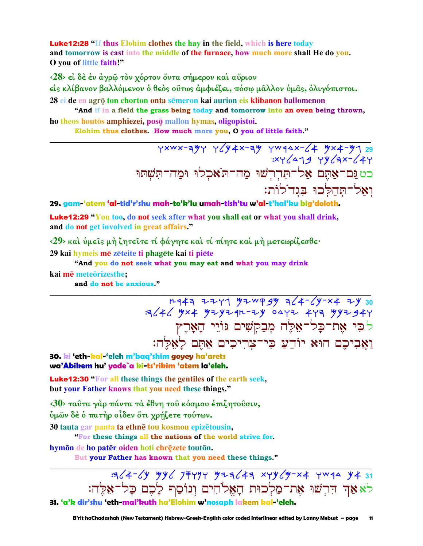**Luke12:28 "If thus Elohim clothes the hay in the field, which is here today** and tomorrow is cast into the middle of the furnace, how much more shall He do you. O you of little faith!"

 $\langle 28 \rangle$  εί δέ έν άγρω τον χόρτον όντα σήμερον και αύριον

είς κλίβανον βαλλόμενον ὁ θεὸς οὕτως ἀμφιέζει, πόσω μαλλον ὑμας, ὀλιγόπιστοι. 28 ei de en agrō ton chorton onta semeron kai aurion eis klibanon ballomenon

"And if in a field the grass being today and tomorrow into an oven being thrown, ho theos houtos amphiezei, poso mallon hymas, oligopistoi.

Elohim thus clothes. How much more you, O you of little faith."

 $Y^{xwx-y}$   $Y(y4x-y wqax-(4 yx+yy)$  $XY(\Delta 19 Y)(3X-(4Y$ ואל־תְּחַלְכוּ בִּגְדֹלוֹת:

#### 29. gam-'atem 'al-tid'r'shu mah-to'k'lu umah-tish'tu w'al-t'hal'ku big'doloth.

**Luke12:29 "You too, do not seek after what you shall eat or what you shall drink,** and do not get involved in great affairs."

 $\langle 29 \rangle$  και υμείς μη ζητείτε τί φάγητε και τί πίητε και μη μετεωρίζεσθε· 29 kai hymeis mē zēteite ti phagēte kai ti piete

"And you do not seek what you may eat and what you may drink kai mē meteorizesthe:

and do not be anxious."

# לכי את־כָל־אָלֵה מִבַקִשִׁים גּוֹיֵי הָאָרֵץ וַאֲבִיכֶם הוּא יוֹדֵעַ כִּי־צִרְיכִים אַתֵּם לַאֲלֵה:

30. ki 'eth-kal-'eleh m'baq'shim goyey ha'arets wa'Abikem hu' yode`a ki-ts'rikim 'atem la'eleh.

**Luke12:30 "For all these things the gentiles of the earth seek.** but your Father knows that you need these things."

<30> ταύτα γάρ πάντα τα έθνη του κόσμου επιζητούσιν,

ύμων δέ ό πατήρ οίδεν ότι χρήζετε τούτων.

30 tauta gar panta ta ethnē tou kosmou epizētousin,

"For these things all the nations of the world strive for.

hymōn de ho patēr oiden hoti chrēzete toutōn.

But your Father has known that you need these things."

לאאַד הִרְשׁוּ אֶת־מַלְכוּת הָאֱלֹהִים וְנוֹסַף לָבֵם כָּל־אֵלֶה: 31. 'a'k dir'shu 'eth-mal'kuth ha'Elohim w'nosaph lakem kal-'eleh.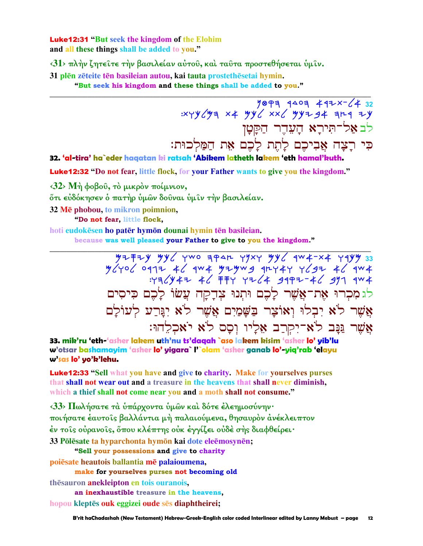**Luke12:31 "But seek the kingdom of the Elohim** and all these things shall be added to you."

 $\langle 31 \rangle$  πλήν ζητείτε τήν βασιλείαν αύτου, και ταυτα προστεθήσεται υμίν.

31 plēn zēteite tēn basileian autou, kai tauta prostethēsetai hymin.

"But seek his kingdom and these things shall be added to you."

 $\frac{1899999994472 \times 2432}{7899999994949497}$ : xyy (43) לב אל־תירא העדר הקטן כִּי רָצָה אֲבִיכֶם לְחֶת לָכֶם אֵת הַמַּלְכוּת:

32. 'al-tira' ha`eder hagatan ki ratsah 'Abikem latheth lakem 'eth hamal'kuth.

Luke12:32 "Do not fear, little flock, for your Father wants to give you the kingdom."

 $\langle 32 \rangle$  Μή φοβού, τὸ μικρὸν ποίμνιον,

ὄτι εὐδόκησεν ὁ πατήρ ὑμῶν δοῦναι ὑμῖν τὴν βασιλείαν.

32 Me phobou, to mikron poimnion,

"Do not fear, little flock,

hoti eudokesen ho pater hymon dounai hymin ten basileian.

because was well pleased your Father to give to you the kingdom."

 $\frac{y}{2}+\frac{y}{2}+\frac{y}{2}-\frac{y}{2}-\frac{y}{2}}{y}{y}+\frac{y}{2}-\frac{y}{2}-\frac{y}{2}-\frac{y}{2}-\frac{y}{2}}{y}{y}+\frac{y}{2}-\frac{y}{2}-\frac{y}{2}-\frac{y}{2}-\frac{y}{2}-\frac{y}{2}-\frac{y}{2}}{y}+y+1+\frac{y}{2}-\frac{y}{2}-\frac{y}{2}-\frac{y}{2}-\frac{y}{2}-\frac{y}{2}-\frac{y}{2}-\frac{y}{2}-\frac{y}{2}-\frac{y}{2}-\frac{y}{2}-\frac{y}{2}-$ לגמכרו את־אַשִׁר לָכֶם וּתִנוּ צִדְקָה עֲשׂוֹ לָכֶם כִּיסִים אַשר לֹא יבלוּ ואוֹצר בשמים אַשר לֹא יִגּרע לעוֹלִם אֲשֶׁר נַּנָּב לֹאִ־יִקְרַב אֵלְיוּ וְסָם לֹא יֹאַכְלֵהוּ:

33. mik'ru 'eth-'asher lakem uth'nu ts'dagah `aso lakem kisim 'asher lo' yib'lu w'otsar bashamayim 'asher lo' yigara` l'`olam 'asher ganab lo'-yiq'rab 'elayu w'sas lo' yo'k'lehu.

**Luke12:33** "Sell what you have and give to charity. Make for yourselves purses that shall not wear out and a treasure in the heavens that shall never diminish, which a thief shall not come near you and a moth shall not consume."

<33> Πωλήσατε τα υπάρχοντα υμών και δότε έλεημοσύνην· ποιήσατε έαυτοίς βαλλάντια μή παλαιούμενα, θησαυρόν ανέκλειπτον έν τοῖς οὐρανοῖς, ὅπου κλέπτης οὐκ ἐγγίζει οὐδὲ σὴς διαφθείρει· 33 Pōlēsate ta hyparchonta hymōn kai dote eleēmosynēn; "Sell your possessions and give to charity

poiesate heautois ballantia me palaioumena,

make for yourselves purses not becoming old

thesauron anekleipton en tois ouranois,

an inexhaustible treasure in the heavens,

hopou kleptēs ouk eggizei oude sēs diaphtheirei;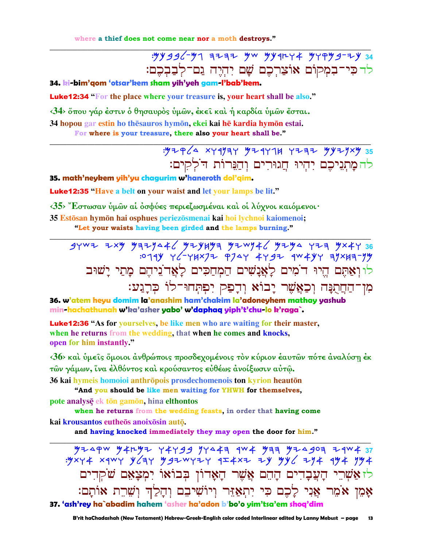where a thief does not come near nor a moth destroys."

## לד כִּי־בִמְקוֹם אוֹצַרְכֶם שָׁם יִהְיֵה גַם־לִבַבִּכֵם:

34. ki-bim'gom 'otsar'kem sham yih'yeh gam-l'bab'kem.

**Luke12:34** "For the place where your treasure is, your heart shall be also."

<34> ὅπου γάρ έστιν ὁ θησαυρός ὑμῶν, ἐκει και ή καρδία ὑμῶν ἔσται.

34 hopou gar estin ho thesauros hymon, ekei kai he kardia hymon estai.

For where is your treasure, there also your heart shall be."

## $.97964$  xyqyay 9294714 yzaz yyzyxy 35 להמתגיכם יהיו חגורים והנרות דלקים:

35. math'neykem yih'yu chagurim w'haneroth dol'gim.

**Luke12:35 "Have a belt on your waist and let your lamps be lit."** 

<35> "Εστωσαν ύμων αί όσφύες περιεζωσμέναι καί οί λύχνοι καιόμενοι·

35 Estōsan hymōn hai osphues periezōsmenai kai hoi lychnoi kaiomenoi; "Let your waists having been girded and the lamps burning."

36. w'atem hevu domim la'anashim ham'chakim la'adoneyhem mathay yashub min-hachathunah w'ka'asher yabo' w'daphaq yiph't'chu-lo k'raga`.

**Luke12:36** "As for vourselves, be like men who are waiting for their master, when he returns from the wedding, that when he comes and knocks, open for him instantly."

<36> και ύμείς όμοιοι άνθρώποις προσδεχομένοις τον κύριον έαυτων πότε άναλύση έκ τῶν γάμων, ἴνα ἐλθόντος καὶ κρούσαντος εὐθέως ἀνοίξωσιν αὐτῶ.

36 kai hymeis homoioi anthrōpois prosdechomenois ton kyrion heautōn

"And you should be like men waiting for YHWH for themselves, pote analyse ek tōn gamōn, hina elthontos

when he returns from the wedding feasts, in order that having come kai krousantos eutheōs anoixōsin autō.

and having knocked immediately they may open the door for him."

 $\frac{1}{3}$  = 5000 × 500 1459 × 400 1459 × 400 × 500 × 500 × 500 × 500 × 500 × 500 × 500 × 500 × 500 × 500 × 500 × 500 × 500 × 500 × 500 × 500 × 500 × 500 × 500 × 500 × 500 × 500 × 500 × 500 × 500 × 500 × 500 × 500 × 500 × לז אַשְׁרֵי הָעֲבָדִים הָהֶם אֲשֶׁר הָאָדוֹן בְּבוֹאוֹ יִמְצָאֵם שֹׁקְדִים אָמֶן אֹמֶר אֲנִי לָכֶם כִּי יְתְאֲזֶּר וְיוֹשִׁיבֵם וְהָלַךְ וְשֶׁרֶת אוֹתָם: 37. 'ash'rey ha`abadim hahem 'asher ha'adon b'bo'o yim'tsa'em shoq'dim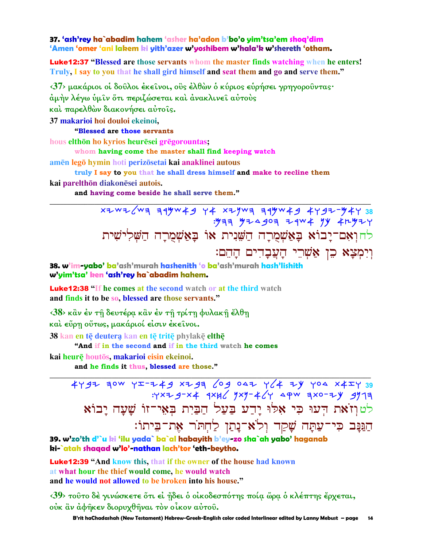37. 'ash'rey ha`abadim hahem 'asher ha'adon b'bo'o yim'tsa'em shoa'dim 'Amen 'omer 'ani lakem ki yith'azer w'yoshibem w'hala'k w'shereth 'otham.

**Luke12:37 "Blessed are those servants whom the master finds watching when he enters!** Truly, I say to you that he shall gird himself and seat them and go and serve them."

 $\langle 37 \rangle$  μακάριοι οι δούλοι έκεινοι, ους έλθων ο κύριος ευρήσει γρηγορουντας·

άμήν λέγω ύμιν ὄτι περιζώσεται καὶ ἀνακλινει αὐτοὺς

και παρελθών διακονήσει αυτοίς.

37 makarioi hoi douloi ekeinoi.

#### "Blessed are those servants

hous elthon ho kyrios heuresei gregorountas:

whom having come the master shall find keeping watch

amēn legō hymin hoti perizōsetai kai anaklinei autous

truly I say to you that he shall dress himself and make to recline them

kai parelthōn diakonēsei autois.

and having come beside he shall serve them."

 $x \rightarrow 0$   $x \rightarrow 0$   $x \rightarrow 0$   $x \rightarrow 0$   $x \rightarrow 0$   $x \rightarrow 0$   $x \rightarrow 0$   $x \rightarrow 0$   $x \rightarrow 0$   $x \rightarrow 0$   $x \rightarrow 0$   $x \rightarrow 0$   $x \rightarrow 0$   $x \rightarrow 0$   $x \rightarrow 0$   $x \rightarrow 0$   $x \rightarrow 0$   $x \rightarrow 0$   $x \rightarrow 0$   $x \rightarrow 0$   $x \rightarrow 0$   $x \rightarrow 0$   $x \rightarrow 0$   $x \rightarrow 0$   $x \rightarrow 0$   $x \rightarrow 0$   $x \rightarrow 0$   $x \rightarrow$ לחואם־יָבוֹא בָאַשְׁמֻרָה הַשֵּׁנִית אוֹ בַּאַשְׁמְרַה הַשָּׁלִישִׁית וִיִמְצָא כֵן אֲשָׁרֵי הַעֲבָדִים הַהֵם:

38. w'im-yabo' ba'ash'murah hashenith 'o ba'ash'murah hash'lishith w'yim'tsa' ken 'ash'rey ha`abadim hahem.

**Luke12:38 "If he comes at the second watch or at the third watch** and finds it to be so, blessed are those servants."

<38> κἂν έν τη δευτέρα κἂν έν τη τρίτη φυλακη έλθη

και εύρη ούτως, μακάριοί είσιν εκείνοι.

38 kan en tē deutera kan en tē tritē phylakē elthē

"And if in the second and if in the third watch he comes kai heurē houtōs, makarioi eisin ekeinoi.

and he finds it thus, blessed are those."

39 443 204 444 444 446 60 564 444 444 444 444<br>FMC 44-0x5 444 4x4 4x4 4x4 4x4 4x4 לטוזֹאת הִעוּ כִּי אָלוּ יַדַע בַעַל הַבַּיִת בִאָי־זוֹ שָׁעָה יָבוֹא הַגַּנַּב כִּי־עַתֲה שַׁקַד וְלֹא־נַתַן לַחְתֹּר אָת־בִיתוֹ:

39. w'zo'th d'`u ki 'ilu yada` ba`al habayith b'ey-zo sha`ah yabo' haganab ki-`atah shaqad w'lo'-nathan lach'tor 'eth-beytho.

**Luke12:39 "And know this, that if the owner of the house had known** at what hour the thief would come, he would watch and he would not allowed to be broken into his house."

<39> τούτο δέ γινώσκετε ότι εί ήδει ο οίκοδεσπότης ποία ώρα ο κλέπτης έρχεται, ούκ ἂν ἀφῆκεν διορυχθῆναι τὸν οἶκον αὐτοῦ.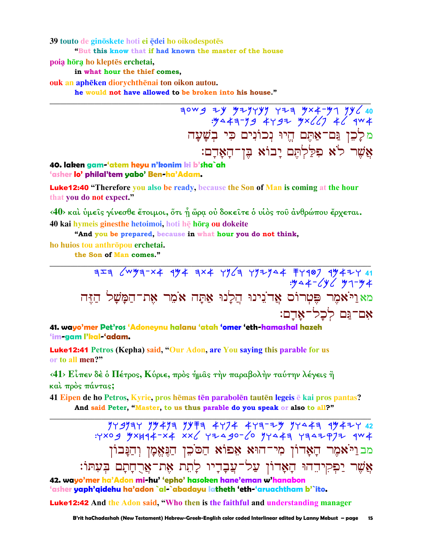39 touto de ginōskete hoti ei ēdei ho oikodespotēs

"But this know that if had known the master of the house

poia hōra ho kleptēs erchetai,

in what hour the thief comes.

ouk an aphēken diorychthēnai ton oikon autou.

he would not have allowed to be broken into his house."

מלֶכֶן נַם־אַתֵּם הֵיוּ נִכוֹנִים כִּי בִשָּׁעָה אשר לא פללתם יבוא בן־האָדָם:

#### 40. laken gam-'atem heyu n'konim ki b'sha`ah 'asher lo' philal'tem yabo' Ben-ha'Adam.

**Luke12:40** "Therefore you also be ready, because the Son of Man is coming at the hour that you do not expect."

<40> και ύμεις γίνεσθε έτοιμοι, ότι ή ώρα ου δοκειτε ο υίος του ανθρώπου έρχεται. 40 kai hymeis ginesthe hetoimoi, hoti he hora ou dokeite

"And you be prepared, because in what hour you do not think,

ho huios tou anthropou erchetai.

the Son of Man comes."

#### 41. wayo'mer Pet'ros 'Adoneynu halanu 'atah 'omer 'eth-hamashal hazeh 'im-gam l'kal-'adam.

**Luke12:41** Petros (Kepha) said, "Our Adon, are You saying this parable for us or to all men?"

 $\langle 41 \rangle$  Είπεν δέ ο Πέτρος, Κύριε, προς ήμας την παραβολην ταύτην λέγεις ή καί πρός πάντας;

41 Eipen de ho Petros, Kyrie, pros hēmas tēn parabolēn tautēn legeis ē kai pros pantas? And said Peter, "Master, to us thus parable do you speak or also to all?"

מבויֹאמִר הַאָדוֹן מִי־הוּא אָפוֹא הַסֹּכֵן הַגָּאֱמָן וְהַנָּבוֹן אֲשֶׁר יַפִקִידֵהוּ הָאָדוֹן עַל־עֲבָדָיו לַהֶת אֶת־אַרֻחֲתָם בִּעִתּוֹ:

42. wayo'mer ha'Adon mi-hu' 'epho' hasoken hane'eman w'hanabon 'asher yaph'qidehu ha'adon `al-`abadayu latheth 'eth-'aruachtham b'`ito.

**Luke12:42** And the Adon said, "Who then is the faithful and understanding manager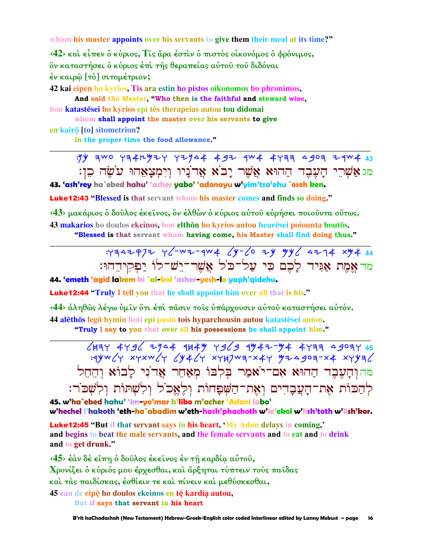**whom his master appoints over his servants to give them their meal at its time?"**

**‹42› καὶ εἶπεν ὁ κύριος, Τίς ἄρα ἐστὶν ὁ πιστὸς οἰκονόµος ὁ φρόνιµος, ὃν καταστήσει ὁ κύριος ἐπὶ τῆς θεραπείας αὐτοῦ τοῦ διδόναι ἐν καιρῷ [τὸ] σιτοµέτριον;** 

**42 kai eipen ho kyrios, Tis ara estin ho pistos oikonomos ho phronimos, And said the Master, "Who then is the faithful and steward wise,**

**hon katastsei ho kyrios epi ts therapeias autou tou didonai** 

**whom shall appoint the master over his servants to give en kairo [to]** sitometrion?

**in the proper time the food allowance." \_\_\_\_\_\_\_\_\_\_\_\_\_\_\_\_\_\_\_\_\_\_\_\_\_\_\_\_\_\_\_\_\_\_\_\_\_\_\_\_\_\_\_\_\_\_\_\_\_\_\_\_\_\_\_\_\_\_\_\_\_\_\_\_\_\_\_\_\_\_\_\_\_\_\_\_\_\_\_\_\_\_\_\_\_\_\_\_\_\_\_\_\_**

## : yy awo ya4ny2y y2ya4 492 4w4 4yaa agoa 24w4 43 : מגאַשרי הַעָּבָר הַהוּא אֲשֶׁר יַבֹא אֲרֹנַיו וִיִמְצַאָהוּ עֹשָׂה כֵן **43. 'ash'rey ha`ebed hahu' 'asher yabo' 'adonayu w'yim'tsa'ehu `oseh ken.**

Luke12:43 **"Blessed is that servant whom his master comes and finds so doing."**

**‹43› µακάριος ὁ δοῦλος ἐκεῖνος, ὃν ἐλθὼν ὁ κύριος αὐτοῦ εὑρήσει ποιοῦντα οὕτως. 43 makarios** ho doulos ekeinos, hon elthōn ho kyrios autou heuresei poiounta houtos. **"Blessed is that servant whom having come, his Master shall find doing thus."** 

### **\_\_\_\_\_\_\_\_\_\_\_\_\_\_\_\_\_\_\_\_\_\_\_\_\_\_\_\_\_\_\_\_\_\_\_\_\_\_\_\_\_\_\_\_\_\_\_\_\_\_\_\_\_\_\_\_\_\_\_\_\_\_\_\_\_\_\_\_\_\_\_\_\_\_\_\_\_\_\_\_\_\_\_\_\_\_\_\_\_\_\_\_\_** :whdyqpy wl-cy-rca lk-lo yk Mkl dyga tma **44**  מר אמת אֵנִּיד לַכֵם כִּי עַל־כֹּל אֲשֶׁר־יֶש־לוֹ יַפְקִידֵהוּ:

**44. 'emeth 'agid lakem ki `al-kol 'asher-yesh-lo yaph'qidehu.**

Luke12:44 **"Truly I tell you that he shall appoint him over all that is his."**

**‹44› ἀληθῶς λέγω ὑµῖν ὅτι ἐπὶ πᾶσιν τοῖς ὑπάρχουσιν αὐτοῦ καταστήσει αὐτόν. 44 alths leg hymin hoti epi pasin tois hyparchousin autou katastsei auton.** 

**"Truly I say to you that over all his possessions he shall appoint him."** 

**\_\_\_\_\_\_\_\_\_\_\_\_\_\_\_\_\_\_\_\_\_\_\_\_\_\_\_\_\_\_\_\_\_\_\_\_\_\_\_\_\_\_\_\_\_\_\_\_\_\_\_\_\_\_\_\_\_\_\_\_\_\_\_\_\_\_\_\_\_\_\_\_\_\_\_\_\_\_\_\_\_\_\_\_\_\_\_\_\_\_\_\_\_**

ljhw awbl ynda rjam wblb rmay-Ma awhh dbohw **45**   $:4$ yw $\zeta$ y xyxw $\zeta$ y  $\zeta$ y4 $\zeta$ y xy $\eta$ ya-x $\zeta$ y yakalwa haya $\zeta$ מהוּדַעִבֶר הַהוּא אִם־יֹאמַר בִּלְבּוֹ מְאַחֵר אַרֹנִי לַבוֹא וְהֵחֶל לִהֲכוֹת אֶת־הַעֲבָדִים וְאֶת־הַשָּׁפָחוֹת וְלֵאֱכֹל וְלִשְׁתּוֹת וְלִשְׁכֹוֹ־:

**45. w'ha`ebed hahu' 'im-yo'mar b'libo m'acher 'Adoni labo' w'hechel l'hakoth 'eth-ha`abadim w'eth-hash'phachoth w'le'ekol w'lish'toth w'lish'kor.**

Luke12:45 **"But if that servant says in his heart, 'My Adon delays in coming,' and begins to beat the male servants, and the female servants and to eat and to drink and to get drunk."**

**‹45› ἐὰν δὲ εἴπῃ ὁ δοῦλος ἐκεῖνος ἐν τῇ καρδίᾳ αὐτοῦ,** 

**Χρονίζει ὁ κύριός µου ἔρχεσθαι, καὶ ἄρξηται τύπτειν τοὺς παῖδας** 

**καὶ τὰς παιδίσκας, ἐσθίειν τε καὶ πίνειν καὶ µεθύσκεσθαι,** 

**45 ean de eipÿ ho doulos ekeinos en tÿ kardia! autou,** 

 **But if says that servant in his heart**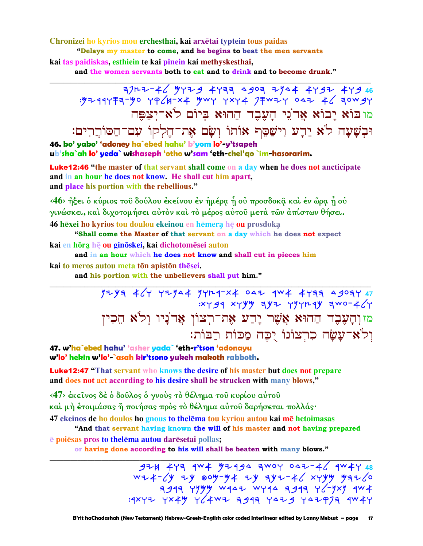Chronizei ho kyrios mou erchesthai, kai arxētai typtein tous paidas

"Delays my master to come, and he begins to beat the men servants kai tas paidiskas, esthiein te kai pinein kai methyskesthai,

and the women servants both to eat and to drink and to become drunk."

714 444 444 794 1994 1994 444 445 744 144 445<br>46 34 460 4404 744 444 744 446 446 446 744 מובוֹא יבוֹא אדני העבד ההוּא ביוֹם לֹא־יצפּה וּבְשַׁעַה לֹא יֵדֵע וִישַׁםֵּף אוֹתוֹ וְשַׂם אֶת־חֵלְקוֹ עִם־הַסוֹרֵרִים:

46. bo' yabo' 'adoney ha`ebed hahu' b'yom lo'-y'tsapeh ub'sha`ah lo' yeda` wishaseph 'otho w'sam 'eth-chel'go `im-hasorarim.

Luke12:46 "the master of that servant shall come on a day when he does not ancticipate and in an hour he does not know. He shall cut him apart, and place his portion with the rebellious."

<46> ήξει ο κύριος του δούλου έκείνου έν ήμέρα ή ου προσδοκα και έν ώρα ή ου γινώσκει, και διχοτομήσει αυτόν και το μέρος αυτού μετά των απίστων θήσει. 46 hēxei ho kyrios tou doulou ekeinou en hēmera hē ou prosdoka

"Shall come the Master of that servant on a day which he does not expect kai en hōra hē ou ginōskei, kai dichotomēsei auton

and in an hour which he does not know and shall cut in pieces him kai to meros autou meta tōn apistōn thēsei.

and his portion with the unbelievers shall put him."

 $774$   $46$   $17744$   $17747$   $17404$   $1047$   $1044$   $1191$   $1091$   $17$  $xy$  44  $xy$   $yy$  ay  $xy$   $yy$   $xy$   $xy$  and  $xy$ מזוְהָעֶבֶר הַחוּא אֲשֶׁר יָדַע אֶת־רִצוֹן אֲדֹנַיו וִלֹא הֵכִין וִלֹא־עַשַׂה כְרִצוֹנוֹ יָכֶה מַכּוֹת רַבּוֹת:

47. w'ha`ebed hahu' 'asher yada` 'eth-r'tson 'adonayu w'lo' hekin w'lo'-`asah kir'tsono yukeh makoth rabboth.

**Luke12:47** "That servant who knows the desire of his master but does not prepare and does not act according to his desire shall be strucken with many blows,"

<47> έκείνος δέ ό δούλος ό γνούς τό θέλημα του κυρίου αύτου καὶ μὴ ἑτοιμάσας ἢ ποιήσας πρὸς τὸ θέλημα αὐτοῦ δαρήσεται πολλάς· 47 ekeinos de ho doulos ho gnous to the lema tou kyriou autou kai me hetoimasas

"And that servant having known the will of his master and not having prepared

e poiesas pros to thelema autou daresetai pollas;

or having done according to his will shall be beaten with many blows."

 $474$  443 4W4 47444 3WOY 047-46 4W44 48  $w+2$  and  $w-y$  and  $w-y$  and  $y$  and  $y$  and  $z$  and  $y$  and  $z$  and  $y$  and  $y$  and  $z$  and  $y$  and  $z$  and  $y$  and  $z$  and  $y$  and  $z$  and  $y$  and  $z$  and  $z$  and  $z$  and  $z$  and  $z$  and  $z$  and  $z$  and  $z$  and  $z$  and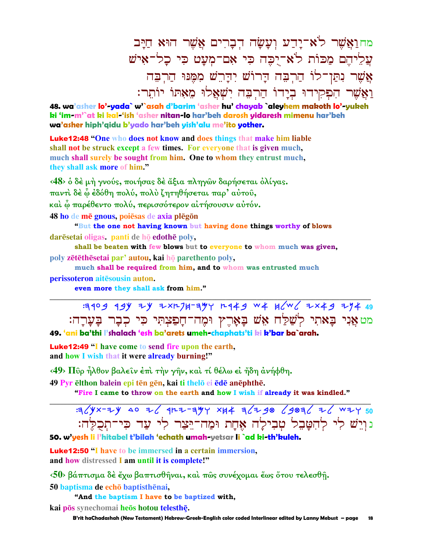מחוַאֲשֶׁר לֹא־יַדַע וְעַשַׂה הָבָרִים אֱשֶׁר הוּא חַיַּב עֲלֵיהֵם מַכּוֹת לֹאִ־יִכְּה כִּי אַם־מִעַט כִּי כָל־אִישׁ אֲשֶׁר נִתֲן־לוֹ הַרְבָּה הַרוֹשׁ יִהַרֵשׁ מִמֵּנוּ הַרְבָה וַאֲשֶׁר הִפְקִידוּ בְיָדוֹ הַרְבֵה יִשָׁאֲלוּ מֵאָתוֹ יוֹתֵר:

48. wa'asher lo'-yada` w'`asah d'barim 'asher hu' chayab `aleyhem makoth lo'-yukeh ki 'im-m'`at ki kal-'ish 'asher nitan-lo har'beh darosh yidaresh mimenu har'beh wa'asher hiph'qidu b'yado har'beh yish'alu me'ito yother.

**Luke12:48 "One who does not know and does things that make him liable** shall not be struck except a few times. For everyone that is given much, much shall surely be sought from him. One to whom they entrust much, they shall ask more of him."

<48> ο δέ μή γνούς, ποιήσας δέ άξια πληγών δαρήσεται όλίγας. παντὶ δὲ ὧ ἐδόθη πολύ, πολὺ ζητηθήσεται παρ' αὐτοῦ, καὶ ὧ παρέθεντο πολύ, περισσότερον αἰτήσουσιν αὐτόν.

48 ho de mē gnous, poiesas de axia plēgōn

"But the one not having known but having done things worthy of blows darësetai oligas, panti de  $h\bar{q}$  edothë poly,

shall be beaten with few blows but to everyone to whom much was given,

poly zētēthēsetai par' autou, kai hō parethento poly,

much shall be required from him, and to whom was entrusted much

perissoteron aitesousin auton.

even more they shall ask from him."

:3409 49Y ZY ZXL7H-34Y L449 W4 H(W( ZX49 ZY4 49 מט אַנִי בַּאתִי לִשַׁלַּח אֵשׁ בָאָרֵץ וּמֵה־חָפַצְתִּי כִּי כְבָר בָעָרָה: 49. 'ani ba'thi l'shalach 'esh ba'arets umeh-chaphats'ti ki k'bar ba`arah.

**Luke12:49 "I have come to send fire upon the earth,** and how I wish that it were already burning!"

<49> Πῦρ ἦλθον βαλεῖν ἐπὶ τὴν γῆν, καὶ τί θέλω εἰ ἤδη ἀνήφθη.

49 Pyr ēlthon balein epi tēn gēn, kai ti thelō ei ēdē anēphthē.

"Fire I came to throw on the earth and how I wish if already it was kindled."

 $3/(4x-74)$  40 7/  $41-744$  XH4 3/7 48 / 483/ 7/ W74 50 נויש לי להטבל טבילה אחת ומה־יצר לי עד כי־תכלה:

### 50. w'yesh li l'hitabel t'bilah 'echath umah-yetsar li `ad ki-th'kuleh.

**Luke 12:50** "I have to be immersed in a certain immersion, and how distressed I am until it is complete!"

 $\langle 50 \rangle$  βάπτισμα δέ έχω βαπτισθήναι, και πῶς συνέχομαι ἕως ὅτου τελεσθῆ. 50 baptisma de echō baptisthēnai,

"And the baptism I have to be baptized with, kai pōs synechomai heōs hotou telesthē.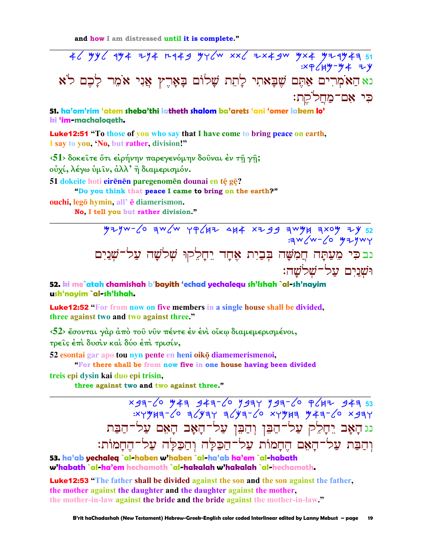46 yy6 9y4 zy4 r949 yy6w xx6 zx4gw yx4 yz9y43 51 נא הַאֹמְרִים אַתֶּם שֶׁבָּאתִי לָתֵת שָׁלוֹם בָאָרֶץ אֲנִי אֹמֵר לָכֶם לֹא כִּי אָם־מַחֲלֹקֵת:

51. ha'om'rim 'atem sheba'thi latheth shalom ba'arets 'ani 'omer lakem lo' ki 'im-machaloaeth.

**Luke12:51** "To those of you who say that I have come to bring peace on earth, I say to you, 'No, but rather, division!"

 $\langle 51 \rangle$  δοκείτε ότι είρήνην παρεγενόμην δούναι έν τη γη; ούχί, λέγω ύμιν, άλλ' ή διαμερισμόν. 51 dokeite hoti eirenen paregenomen dounai en te ge? "Do you think that peace I came to bring on the earth?"

ouchi, legō hymin, all' e diamerismon.

No, I tell you but rather division."

נבכִּי מֵעֲתָּה חֲמִשָּׁה בְּבַיִת אֶחָד יֵחָלֵקוּ שְׁלֹשָׁה עַל־שְׁנַיִם וּשָׁנַיִם עֲל־שָׁלֹשֵׁה:

52. ki me`atah chamishah b'bayith 'echad yechalegu sh'Ishah `al-sh'nayim ush'nayim `al-sh'Ishah.

Luke12:52 "For from now on five members in a single house shall be divided, three against two and two against three."

<52> έσονται γάρ άπό του νυν πέντε έν ένι οίκω διαμεμερισμένοι, τρείς έπι δυσιν και δύο έπι τρισίν,

52 esontai gar apo tou nyn pente en heni oiko diamemerismenoi,

"For there shall be from now five in one house having been divided

treis epi dysin kai duo epi trisin,

three against two and two against three."

xga-6 543 944-6 7947 794-6 P642 944 53<br>xyyha-6 a6yay a6ya-60 xyyha 543-60 xgay נג הָאָב יֵחָלֵק עַל־הַבֵּן וְהַבֵּן עַל־הָאָב הָאֵם עַל־הַבַּת וְהַבַּת עַל־הָאֵם הֶחָמוֹת עַל־הַכַּלָּה וְהַכַּלָּה עַל־הֵחָמוֹת:

53. ha'ab yechaleg `al-haben w'haben `al-ha'ab ha'em `al-habath w'habath `al-ha'em hechamoth `al-hakalah w'hakalah `al-hechamoth.

**Luke12:53** "The father shall be divided against the son and the son against the father, the mother against the daughter and the daughter against the mother. the mother-in-law against the bride and the bride against the mother-in-law."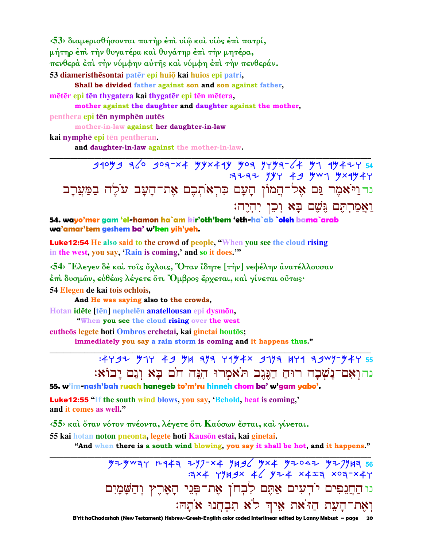**‹53› διαµερισθήσονται πατὴρ ἐπὶ υἱῷ καὶ υἱὸς ἐπὶ πατρί, µήτηρ ἐπὶ τὴν θυγατέρα καὶ θυγάτηρ ἐπὶ τὴν µητέρα, πενθερὰ ἐπὶ τὴν νύµφην αὐτῆς καὶ νύµφη ἐπὶ τὴν πενθεράν. 53 diameristhesontai pater epi huio kai huios epi patri,** 

**Shall be divided father against son and son against father,** mētēr epi tēn thygatera kai thygatēr epi tēn mētera,

**mother against the daughter and daughter against the mother,**

**penthera epi ten nymphen autes** 

 **mother-in-law against her daughter-in-law**

**kai nymphē epi tēn pentheran.** 

**and daughter-in-law against the mother-in-law.** 

**\_\_\_\_\_\_\_\_\_\_\_\_\_\_\_\_\_\_\_\_\_\_\_\_\_\_\_\_\_\_\_\_\_\_\_\_\_\_\_\_\_\_\_\_\_\_\_\_\_\_\_\_\_\_\_\_\_\_\_\_\_\_\_\_\_\_\_\_\_\_\_\_\_\_\_\_\_\_\_\_\_\_\_\_\_\_\_\_\_\_\_\_\_** bromb hlo boh-ta Mktark Moh nwmh-la Mg rmayw **54**   $\overline{H}$   $\overline{H}$   $\overline{H}$   $\overline{H}$   $\overline{H}$   $\overline{H}$   $\overline{H}$   $\overline{H}$   $\overline{H}$   $\overline{H}$   $\overline{H}$   $\overline{H}$   $\overline{H}$   $\overline{H}$   $\overline{H}$   $\overline{H}$   $\overline{H}$   $\overline{H}$   $\overline{H}$   $\overline{H}$   $\overline{H}$   $\overline{H}$   $\overline{H}$   $\overline{H}$   $\overline{$ נדו<sup>ַ</sup>יֹאמֶר גַּם אֶל־הֲמוֹן הָעָם כִּרְאֹתִכֶם אֶת־הַעַב עֹלֵה בַמַּעֲרַב :†¶‹¸†¹‹ '·¸‡ '´A ¶ ¶B ¶U¸šµ÷¼'µ‡

**54. wayo'mer gam 'el-hamon ha`am kir'oth'kem 'eth-ha`ab `oleh bama`arab wa'amar'tem geshem ba' w'ken yih'yeh.**

Luke12:54 **He also said to the crowd of people, "When you see the cloud rising in the west, you say, 'Rain is coming,' and so it does.'"**

**‹54› Ἔλεγεν δὲ καὶ τοῖς ὄχλοις, Ὅταν ἴδητε [τὴν] νεφέλην ἀνατέλλουσαν ἐπὶ δυσµῶν, εὐθέως λέγετε ὅτι Ὄµβρος ἔρχεται, καὶ γίνεται οὕτως· 54 Elegen de kai tois ochlois,** 

 **And He was saying also to the crowds, Hotan idēte** [tēn] nephelēn **anatellousan** epi **dysmōn**,

 **"When you see the cloud rising over the west**

**euthes legete hoti Ombros erchetai, kai ginetai houts;** 

**immediately you say a rain storm is coming and it happens thus."** 

## **\_\_\_\_\_\_\_\_\_\_\_\_\_\_\_\_\_\_\_\_\_\_\_\_\_\_\_\_\_\_\_\_\_\_\_\_\_\_\_\_\_\_\_\_\_\_\_\_\_\_\_\_\_\_\_\_\_\_\_\_\_\_\_\_\_\_\_\_\_\_\_\_\_\_\_\_\_\_\_\_\_\_\_\_\_\_\_\_\_\_\_\_\_** :4Y9<sup>2</sup> 91Y 49 9H a9a Ya94x 919a 4Ya agw9-94Y 55 נהוְאָם־נָשְׁבָה רוּחַ הַגֶּגֵב תּאָמְרוּ הִגֵּה חֹם בַּא וְגַם יַבוֹאָ:

**55. w'im-nash'bah ruach hanegeb to'm'ru hinneh chom ba' w'gam yabo'.**

Luke12:55 **"If the south wind blows, you say, 'Behold, heat is coming,' and it comes as well."**

**‹55› καὶ ὅταν νότον πνέοντα, λέγετε ὅτι Καύσων ἔσται, καὶ γίνεται.** 

**55 kai hotan noton pneonta, legete hoti Kausōn estai, kai ginetai.** 

**"And when there is a south wind blowing, you say it shall be hot, and it happens." \_\_\_\_\_\_\_\_\_\_\_\_\_\_\_\_\_\_\_\_\_\_\_\_\_\_\_\_\_\_\_\_\_\_\_\_\_\_\_\_\_\_\_\_\_\_\_\_\_\_\_\_\_\_\_\_\_\_\_\_\_\_\_\_\_\_\_\_\_\_\_\_\_\_\_\_\_\_\_\_\_\_\_\_\_\_\_\_\_\_\_\_\_**

> Mymchw erah ynp-ta njbl Mta Myody Mypnjh **56**   $:3 \times 4$   $YH3 \times 4$   $YL4$   $X4 = 4$   $X03 - X4$ دו הַחֲנִפִים יֹדְעִים אֲתֶם לִבְחֹן אֶת־פְּנֵי הָאָרֶץ וְהַשָּׁמָיִם וָאֲת־הָעֵת הַז<sup>ּי</sup>את אֵיךְ לֹא תִבְחֲנוּ אֹתָהּ:

 **B'rit haChadashah (New Testament) Hebrew-Greek-English color coded Interlinear edited by Lanny Mebust – page 20**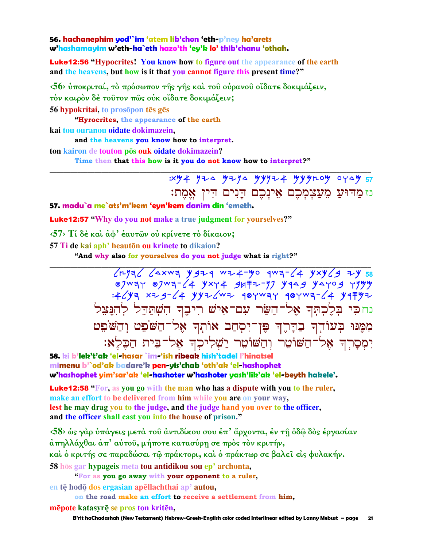#### 56. hachanephim yod'`im 'atem lib'chon 'eth-p'ney ha'arets w'hashamayim w'eth-ha`eth hazo'th 'ey'k lo' thib'chanu 'othah.

**Luke12:56 "Hypocrites! You know how to figure out the appearance of the earth** and the heavens, but how is it that you cannot figure this present time?"

 $\langle 56 \rangle$  υποκριταί, το πρόσωπον της γης και του ουρανου οίδατε δοκιμάζειν, τόν καιρόν δέ τούτον πώς ούκ οίδατε δοκιμάζειν;

56 hypokritai, to prosopon tes ges

"Hyrocrites, the appearance of the earth

kai tou ouranou oidate dokimazein.

and the heavens you know how to interpret.

ton kairon de touton pos ouk oidate dokimazein?

Time then that this how is it you do not know how to interpret?"

 $\frac{1}{2}$   $\frac{1}{2}$   $\frac{1}{2}$   $\frac{1}{2}$   $\frac{1}{2}$   $\frac{1}{2}$   $\frac{1}{2}$   $\frac{1}{2}$   $\frac{1}{2}$   $\frac{1}{2}$   $\frac{1}{2}$   $\frac{1}{2}$   $\frac{1}{2}$   $\frac{1}{2}$   $\frac{1}{2}$   $\frac{1}{2}$   $\frac{1}{2}$   $\frac{1}{2}$   $\frac{1}{2}$   $\frac{1}{2}$   $\frac{1}{2}$   $\frac{1}{2}$ 

## נז מַדוּעַ מֵעַצִמְכֶם אֵינִכֶם דַּנִים דִין אֵמֶת:

#### 57. madu`a me`ats'm'kem 'eyn'kem danim din 'emeth.

**Luke12:57** "Why do you not make a true judgment for yourselves?"

 $\langle 57 \rangle$  Τί δέ και άφ' έαυτών ού κρίνετε το δίκαιον;

57 Ti de kai aph' heauton ou krinete to dikaion?

"And why also for yourselves do you not judge what is right?"

 $L+132$   $L \times 133$   $L \times 133$   $L \times 133$   $L \times 133$   $L \times 133$   $L \times 133$   $L \times 133$   $L \times 133$ 87WAY 87WA-64 YXY4 9HFZ-77 YAA9 YAYO9 YYYY<br>464 XZ9-64 YYI6WI 98YWAY 98YWA-64 Y9FYI נחכי בלכתר אל־השר עם־איש ריבר השתרל להנצל מִמֶּנּוּ בְּעוֹדְךָ בַדְרֶךְ פֵּן־יִסְחַב אוֹתְךָ אֶל־הַשֹׁפֵט וְהַשֹּׁפֵט יִמְסַרְךְ אָלְ־הַשׁוֹטֵר וְהַשׁוֹטֵר יַשְׁלִיכְךְ אֶל־בִּית הַבָּלֶאּ:

58. ki b'lek't'ak 'el-hasar `im-'ish ribeak hish'tadel l'hinatsel mimenu b'`od'ak badare'k pen-vis'chab 'oth'ak 'el-hashophet w'hashophet yim'sar'ak 'el-hashoter w'hashoter yash'lik'ak 'el-beyth hakele'.

**Luke12:58** "For, as you go with the man who has a dispute with you to the ruler, make an effort to be delivered from him while you are on your way, lest he may drag you to the judge, and the judge hand you over to the officer, and the officer shall cast you into the house of prison."

<58> ως γάρ υπάγεις μετά του αντιδίκου σου έπ' άρχοντα, έν τη όδω δός έργασίαν άπηλλάχθαι άπ' αύτοῦ, μήποτε κατασύρη σε πρὸς τὸν κριτήν, καὶ ὁ κριτής σε παραδώσει τῷ πράκτορι, καὶ ὁ πράκτωρ σε βαλεῖ εἰς φυλακήν. 58 hos gar hypageis meta tou antidikou sou ep' archonta,

"For as you go away with your opponent to a ruler,

en tē hodō dos ergasian apēllachthai ap' autou,

on the road make an effort to receive a settlement from him, mēpote katasyrē se pros ton kritēn,